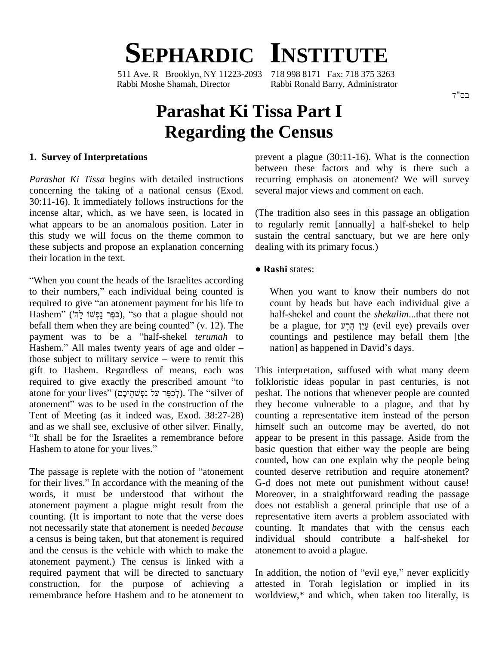# **SEPHARDIC INSTITUTE**

511 Ave. R Brooklyn, NY 11223-2093 718 998 8171 Fax: 718 375 3263 Rabbi Moshe Shamah, Director Rabbi Ronald Barry, Administrator

# **Parashat Ki Tissa Part I Regarding the Census**

## **1. Survey of Interpretations**

*Parashat Ki Tissa* begins with detailed instructions concerning the taking of a national census (Exod. 30:11-16). It immediately follows instructions for the incense altar, which, as we have seen, is located in what appears to be an anomalous position. Later in this study we will focus on the theme common to these subjects and propose an explanation concerning their location in the text.

When you count the heads of the Israelites according **TA**<br>
"When you count the heads of the Israelites according<br>
to their numbers," each individual being counted is "When you count the heads of the Israelites according<br>to their numbers," each individual being counted is W<br>required to give "an atonement payment for his life to co to their numbers<br>
required to give<br>
Hashem" (ה') ers," each individual being counted is<br>
e "an atonement payment for his life to<br>
(כּפֶּר נַפְּשׁוֹ), "so that a plague should not pequired to give "an atonement payment for his life to<br>Hashem" (כִּפֶּר נַפְלֹשׁוֹ (r. בְּשָׁל (counted a plague should not hefall them when they are being counted" (v. 12). The Hashem" (כּפֶר *בַּפְלּשׁוֹ לָה<sup>י</sup>)*, "so that a plague should not has be all them when they are being counted" (v. 12). The be payment was to be a "half-shekel *terumah* to co befall them when they are being counted" (v. 12). The be<br>payment was to be a "half-shekel *terumah* to co<br>Hashem." All males twenty years of age and older – na payment was to be a "half-shekel *terumah* to<br>Hashem." All males twenty years of age and older –<br>those subject to military service – were to remit this gift to Hashem. Regardless of means, each was those subject to military service – were to remit this gift to Hashem. Regardless of means, each was required to give exactly the prescribed amount "to atif to Hashem. Regardless of means, each was Thinequired to give exactly the prescribed amount "to foll atome for your lives" (לְכַפֵּר עַל נַפְ $\gamma$ מֵיקָב, The "silver of pes required to give exactly the prescribed amount "to folklow atone for your lives" (לְכַפֵּר עַל נַפְשׁחֵיכֶם). The "silver of peshandonement" was to be used in the construction of the they Tent of Meeting (as it indeed was, Exod. 38:27-28) cou and as we shall see, exclusive of other silver. Finally, hin It shall be for the Israelites a remembrance before and as we shall see, exclusive of other silver. Finally, "It shall be for the Israelites a remembrance before Hashem to atone for your lives."

The passage is replete with the notion of "atonement" for their lives." In accordance with the meaning of the words, it must be understood that without the atonement payment a plague might result from the counting. (It is important to note that the verse does not necessarily state that atonement is needed *because* a census is being taken, but that atonement is required and the census is the vehicle with which to make the atonement payment.) The census is linked with a required payment that will be directed to sanctuary construction, for the purpose of achieving a remembrance before Hashem and to be atonement to prevent a plague (30:11-16). What is the connection between these factors and why is there such a recurring emphasis on atonement? We will survey several major views and comment on each.

(The tradition also sees in this passage an obligation to regularly remit [annually] a half-shekel to help sustain the central sanctuary, but we are here only dealing with its primary focus.) **● Rashi** states:

When you want to know their numbers do not count by heads but have each individual give a<br>half-shekel and count the *shekalim*...that there not<br>be a plague, for אֲיֹן הָרָע (evil eye) prevails over half-shekel and count the *shekalim*...that there not countings and pestilence may befall them [the be a plague, for עֵין הָרָע (evil eye) prev<br>countings and pestilence may befall t<br>nation] as happened in David's days.

This interpretation, suffused with what many deem folkloristic ideas popular in past centuries, is not peshat. The notions that whenever people are counted they become vulnerable to a plague, and that by counting a representative item instead of the person himself such an outcome may be averted, do not appear to be present in this passage. Aside from the basic question that either way the people are being counted, how can one explain why the people being counted deserve retribution and require atonement? G-d does not mete out punishment without cause! Moreover, in a straightforward reading the passage does not establish a general principle that use of a representative item averts a problem associated with counting. It mandates that with the census each individual should contribute a half-shekel for atonement to avoid a plague.

In addition, the notion of "evil eye," never explicitly attested in Torah legislation or implied in its worldview,\* and which, when taken too literally, is

בס"ד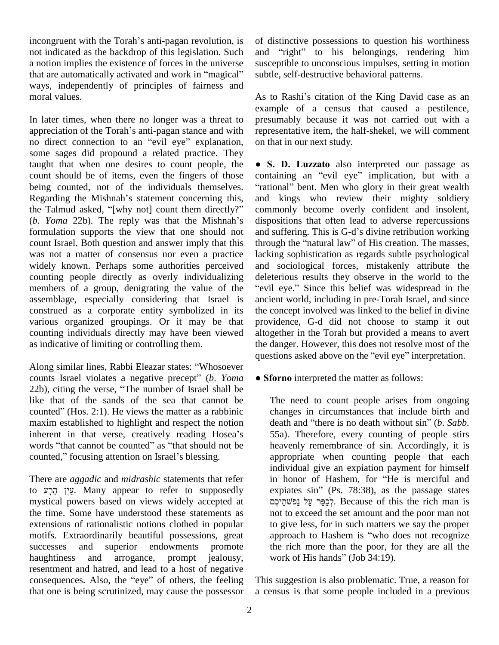incongruent with the Torah's anti-pagan revolution, is not indicated as the backdrop of this legislation. Such and<br>a notion implies the existence of forces in the universe suscep<br>that are automatically activated and work in "magical" subtle. a notion implies the existence of forces in the universe ways, independently of principles of fairness and moral values.

In later times, when there no longer was a threat to appreciation of the Torah's anti-pagan stance and with no direct connection to an "evil eye" explanation, some sages did propound a related practice. They taught that when one desires to count people, the count should be of items, even the fingers of those being counted, not of the individuals themselves. "in count should be of items, even the fingers of those comparison counted, not of the individuals themselves. "I<br>Regarding the Mishnah's statement concerning this, and being counted, not of the individuals themselves. "rational Regarding the Mishnah's statement concerning this, and the Talmud asked, "[why not] count them directly?" comm Regarding the Mishnah's statement concerning this, and<br>the Talmud asked, "[why not] count them directly?" com<br>(*b. Yoma* 22b). The reply was that the Mishnah's disp formulation supports the view that one should not count Israel. Both question and answer imply that this through the "natural law" of His creation. The masses, was not a matter of consensus nor even a practice widely known. Perhaps some authorities perceived counting people directly as overly individualizing members of a group, denigrating the value of the "evil eye." Since this belief was widespread in the assemblage, especially considering that Israel is construed as a corporate entity symbolized in its various organized groupings. Or it may be that counting individuals directly may have been viewed as indicative of limiting or controlling them. the quesses the states:  $\cdot$ Whosoever

questi-<br>Along similar lines, Rabbi Eleazar states: "Whosoever<br>counts Israel violates a negative precept" (*b. Yoma* • Sfor Along similar lines, Rabbi Eleazar states: "Whosoever<br>counts Israel violates a negative precept" (b. Yoma<br>22b), citing the verse, "The number of Israel shall be like that of the sands of the sea that cannot be 22b), citing the verse, "The number of Israel shall be like that of the sands of the sea that cannot be counted" (Hos. 2:1). He views the matter as a rabbinic maxim established to highlight and respect the notion counted" (Hos. 2:1). He views the matter as a rabbinic<br>maxim established to highlight and respect the notion<br>inherent in that verse, creatively reading Hosea's maxim established to highlight and respect the notion<br>inherent in that verse, creatively reading Hosea's 5.<br>words "that cannot be counted" as "that should not be inherent in that verse, creatively reading Hosea's words "that cannot be counted" as "that should not be counted," focusing attention on Israel's blessing.

There are *aggadic* and *midrashic* statements that refer to אֲיִן הַרָע. Many appear to refer to supposedly mystical powers based on views widely accepted at the time. Some have understood these statements as extensions of rationalistic notions clothed in popular motifs. Extraordinarily beautiful possessions, great successes and superior endowments promote haughtiness and arrogance, prompt jealousy, resentment and hatred, and lead to a host of negative haughtiness and arrogance, prompt jealousy, work of His hands" (Job 34:19).<br>resentment and hatred, and lead to a host of negative<br>consequences. Also, the "eye" of others, the feeling This suggestion is also problematic. that one is being scrutinized, may cause the possessor

of distinctive possessions to question his worthiness and "right" to his belongings, rendering him susceptible to unconscious impulses, setting in motion subtle, self-destructive behavioral patterns.

As to Rashi's citation of the King David case as an example of a census that caused a pestilence, presumably because it was not carried out with a representative item, the half-shekel, we will comment on that in our next study.

**S. D. Luzzato** also interpreted our passage as **interpreted** our passage as • S. D. Luzzato also interpreted our passage as containing an "evil eye" implication, but with a **S. D. Luzzato** also interpreted our passage as ontaining an "evil eye" implication, but with a rational" bent. Men who glory in their great wealth and kings who review their mighty soldiery commonly become overly confident and insolent, dispositions that often lead to adverse repercussions and suffering. This is G-d's divine retribution working dispositions that often lead to adverse repercussions and suffering. This is G-d's divine retribution working. lacking sophistication as regards subtle psychological and sociological forces, mistakenly attribute the ìdeleterious results they observe in the world to the nd sociological forces, mistakenly attribute the eleterious results they observe in the world to the evil eye." Since this belief was widespread in the ancient world, including in pre-Torah Israel, and since the concept involved was linked to the belief in divine providence, G-d did not choose to stamp it out altogether in the Torah but provided a means to avert the danger. However, this does not resolve most of the altogether in the Torah but provided a means to avert<br>the danger. However, this does not resolve most of the<br>questions asked above on the "evil eye" interpretation. estions asked above on the "evil eye" interpret<br>**Sforno** interpreted the matter as follows:

The need to count people arises from ongoing changes in circumstances that include birth and death and "there is no death without sin" (*b*. *Sabb*. changes in circumstances that include birth and 55a). Therefore, every counting of people stirs heavenly remembrance of sin. Accordingly, it is appropriate when counting people that each<br>individual give an expiation payment for himself<br>in honor of Hashem, for "He is merciful and individual give an expiation payment for himself individual give an expiation payment for himself<br>in honor of Hashem, for "He is merciful and<br>expiates sin" (Ps. 78:38), as the passage states in honor of Hashem, for "He is merciful and r of Hashem, for "He is merciful and<br>sin" (Ps. 78:38), as the passage states<br>לְכַפֵּר עֲלְ. Because of this the rich man is not to exceed the set amount and the poor man not to give less, for in such matters we say the proper not to exceed the set amount and the poor man not<br>to give less, for in such matters we say the proper<br>approach to Hashem is "who does not recognize the rich more than the poor, for they are all the approach to Hashem is "who does<br>the rich more than the poor, for th<br>work of His hands" (Job 34:19).

This suggestion is also problematic. True, a reason for a census is that some people included in a previous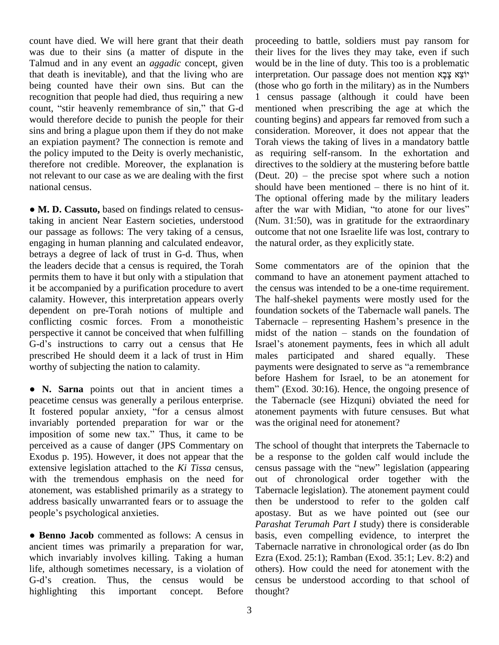count have died. We will here grant that their death was due to their sins (a matter of dispute in the Talmud and in any event an *aggadic* concept, given that death is inevitable), and that the living who are being counted have their own sins. But can the (those recognition that people had died, thus requiring a new 1 cent count, "stir heavenly remembrance of sin," that G-d mention recognition that people had died, thus requiring a new would therefore decide to punish the people for their sins and bring a plague upon them if they do not make an expiation payment? The connection is remote and the policy imputed to the Deity is overly mechanistic, therefore not credible. Moreover, the explanation is not relevant to our case as we are dealing with the first national census.

 **M. D. Cassuto,** based on findings related to censustaking in ancient Near Eastern societies, understood our passage as follows: The very taking of a census, engaging in human planning and calculated endeavor, betrays a degree of lack of trust in G-d. Thus, when the leaders decide that a census is required, the Torah permits them to have it but only with a stipulation that it be accompanied by a purification procedure to avert calamity. However, this interpretation appears overly dependent on pre-Torah notions of multiple and conflicting cosmic forces. From a monotheistic Tabe<br>perspective it cannot be conceived that when fulfilling midst<br>G-d's instructions to carry out a census that He Israel perspective it cannot be conceived that when fulfilling prescribed He should deem it a lack of trust in Him worthy of subjecting the nation to calamity.

• N. Sarna points out that in ancient times a them" (Exod. 30:16). Hence, the ongoing presence of peacetime census was generally a perilous enterprise. • N. Sarna points out that in ancient times a the peacetime census was generally a perilous enterprise. the It fostered popular anxiety, "for a census almost at invariably portended preparation for war or the It fostered popular anxiety, "for a census almost<br>invariably portended preparation for war or the<br>imposition of some new tax." Thus, it came to be perceived as a cause of danger (JPS Commentary on Exodus p. 195). However, it does not appear that the extensive legislation attached to the *Ki Tissa* census, census passage with the "new" legislation (appearing with the tremendous emphasis on the need for atonement, was established primarily as a strategy to Tabern<br>address basically unwarranted fears or to assuage the then<br>people's psychological anxieties. aposta address basically unwarranted fears or to assuage the

 **Benno Jacob** commented as follows: A census in ancient times was primarily a preparation for war, which invariably involves killing. Taking a human Ezra (<br>life, although sometimes necessary, is a violation of others<br>G-d's creation. Thus, the census would be census life, although sometimes necessary, is a violation of highlighting this important concept. Before

proceeding to battle, soldiers must pay ransom for their lives for the lives they may take, even if such<br>would be in the line of duty. This too is a problematic<br>interpretation. Our passage does not mention יוֹצֵא צָבָי would be in the line of duty. This too is a problematic (those who go forth in the military) as in the Numbers 1 census passage (although it could have been mentioned when prescribing the age at which the counting begins) and appears far removed from such a consideration. Moreover, it does not appear that the Torah views the taking of lives in a mandatory battle as requiring self-ransom. In the exhortation and directives to the soldiery at the mustering before battle (Deut. 20) – the precise spot where such a notion directives to the soldiery at the mustering before battle (Deut.  $20$ ) – the precise spot where such a notion should have been mentioned – there is no hint of it. The optional offering made by the military leaders after the war with Midian, "to atone for our lives" (Num. 31:50), was in gratitude for the extraordinary outcome that not one Israelite life was lost, contrary to the natural order, as they explicitly state.

Some commentators are of the opinion that the command to have an atonement payment attached to the census was intended to be a one-time requirement. The half-shekel payments were mostly used for the<br>foundation sockets of the Tabernacle wall panels. The<br>Tabernacle – representing Hashem's presence in the foundation sockets of the Tabernacle wall panels. The<br>Tabernacle – representing Hashem's presence in the<br>midst of the nation – stands on the foundation of Tabernacle – representing Hashem's presence in the males participated and shared equally. These Israel's atonement payments, fees in which all adult before Hashem for Israel, to be an atonement for payments were designated to serve as "a remembrance the Tabernacle (see Hizquni) obviated the need for atonement payments with future censuses. But what was the original need for atonement?

The school of thought that interprets the Tabernacle to be a response to the golden calf would include the The school of thought that interprets the Tabernacle to<br>be a response to the golden calf would include the<br>census passage with the "new" legislation (appearing out of chronological order together with the Tabernacle legislation). The atonement payment could then be understood to refer to the golden calf apostasy. But as we have pointed out (see our *Parashat Terumah Part I* study) there is considerable basis, even compelling evidence, to interpret the Tabernacle narrative in chronological order (as do Ibn Ezra (Exod. 25:1); Ramban (Exod. 35:1; Lev. 8:2) and others). How could the need for atonement with the census be understood according to that school of thought?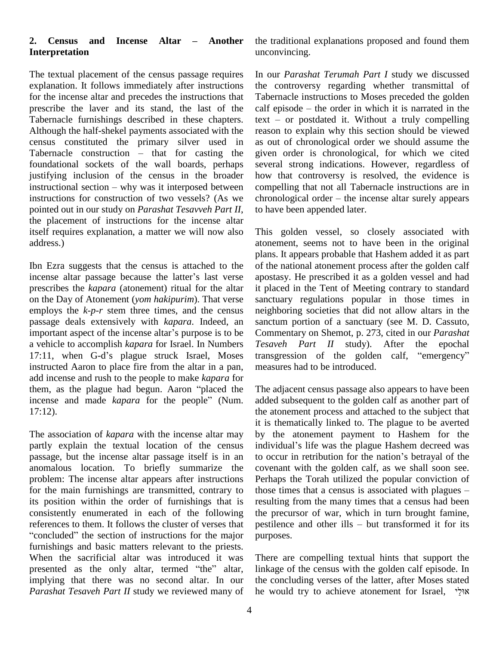# **2. Census and Incense Altar <sup>ñ</sup> Another Interpretation**

The textual placement of the census passage requires explanation. It follows immediately after instructions for the incense altar and precedes the instructions that prescribe the laver and its stand, the last of the calf episode – the order in which it is narrated in the Tabernacle furnishings described in these chapters. text – or postdated it. Without a truly compelling Although the half-shekel payments associated with the census constituted the primary silver used in Although the half-shekel payments associated with the reaso<br>census constituted the primary silver used in as our<br>Tabernacle construction – that for casting the given foundational sockets of the wall boards, perhaps justifying inclusion of the census in the broader foundational sockets of the wall boards, perhaps several justifying inclusion of the census in the broader how instructional section – why was it interposed between compe instructions for construction of two vessels? (As we chronological order – the incense altar surely appears pointed out in our study on *Parashat Tesavveh Part II*, the placement of instructions for the incense altar itself requires explanation, a matter we will now also address.)

Ibn Ezra suggests that the census is attached to the incense altar passage because the latter's last verse prescribes the *kapara* (atonement) ritual for the altar on the Day of Atonement (*yom hakipurim*). That verse employs the  $k-p-r$  stem three times, and the census passage deals extensively with *kapara*. Indeed, an employs the  $k-p-r$  stem three times, and the census neigh passage deals extensively with  $kapara$ . Indeed, an sanct important aspect of the incense altar's purpose is to be Comm a vehicle to accomplish *kapara* for Israel. In Numbers important aspect of the incense altar's purpose is to be<br>
a vehicle to accomplish kapara for Israel. In Numbers Tesaveh Part II study). After the epochal<br>
17:11, when G-d's plague struck Israel, Moses transgression of the instructed Aaron to place fire from the altar in a pan, add incense and rush to the people to make *kapara* for instructed Aaron to place fire from the altar in a pan, meas add incense and rush to the people to make *kapara* for them, as the plague had begun. Aaron "placed the The a add incense and rush to the people to make *kapara* for<br>them, as the plague had begun. Aaron "placed the T<br>incense and made *kapara* for the people" (Num. ao 17:12).

The association of *kapara* with the incense altar may partly explain the textual location of the census individual's life was the plague Hashem decreed was passage, but the incense altar passage itself is in an to occur in retribution for the nation's betrayal of the anomalous location. To briefly summarize the problem: The incense altar appears after instructions for the main furnishings are transmitted, contrary to those times that a census is associated with plagues – its position within the order of furnishings that is consistently enumerated in each of the following consistently enumerated in each of the following the references to them. It follows the cluster of verses that pes "concluded" the section of instructions for the major pur furnishings and basic matters relevant to the priests.<br>When the sacrificial altar was introduced it was T<br>presented as the only altar, termed "the" altar, li When the sacrificial altar was introduced it was implying that there was no second altar. In our *Parashat Tesaveh Part II* study we reviewed many of

the traditional explanations proposed and found them unconvincing.

In our *Parashat Terumah Part I* study we discussed the controversy regarding whether transmittal of Tabernacle instructions to Moses preceded the golden calf episode – the order in which it is narrated in the Tabernacle instructions to Moses preceded the golden<br>calf episode – the order in which it is narrated in the<br>text – or postdated it. Without a truly compelling reason to explain why this section should be viewed as out of chronological order we should assume the given order is chronological, for which we cited several strong indications. However, regardless of how that controversy is resolved, the evidence is compelling that not all Tabernacle instructions are in chronological order – the incense altar surely appears compelling that not all Tabernacle instructions are in to have been appended later.

This golden vessel, so closely associated with atonement, seems not to have been in the original plans. It appears probable that Hashem added it as part of the national atonement process after the golden calf apostasy. He prescribed it as a golden vessel and had it placed in the Tent of Meeting contrary to standard sanctuary regulations popular in those times in neighboring societies that did not allow altars in the sanctum portion of a sanctuary (see M. D. Cassuto, Commentary on Shemot, p. 273, cited in our *Parashat*<br> *Tesaveh* Part II study). After the epochal<br>
transgression of the golden calf, "emergency" *Part II* study). After the epochal measures had to be introduced.

The adjacent census passage also appears to have been added subsequent to the golden calf as another part of the atonement process and attached to the subject that it is thematically linked to. The plague to be averted by the atonement payment to Hashem for the it is thematically linked to. The plague to be averted<br>by the atonement payment to Hashem for the<br>individual's life was the plague Hashem decreed was by the atonement payment to Hashem for the individual's life was the plague Hashem decreed was<br>to occur in retribution for the nation's betrayal of the covenant with the golden calf, as we shall soon see.<br>Perhaps the Torah utilized the popular conviction of<br>those times that a census is associated with plagues – Perhaps the Torah utilized the popular conviction of resulting from the many times that a census had been the precursor of war, which in turn brought famine, pestilence and other ills  $-$  but transformed it for its purposes.

There are compelling textual hints that support the linkage of the census with the golden calf episode. In the concluding verses of the latter, after Moses stated he would try to achieve atonement for Israel,  $\gamma_{\text{N}}^{\text{max}}$ the concluding verses of the latter, after Moses stated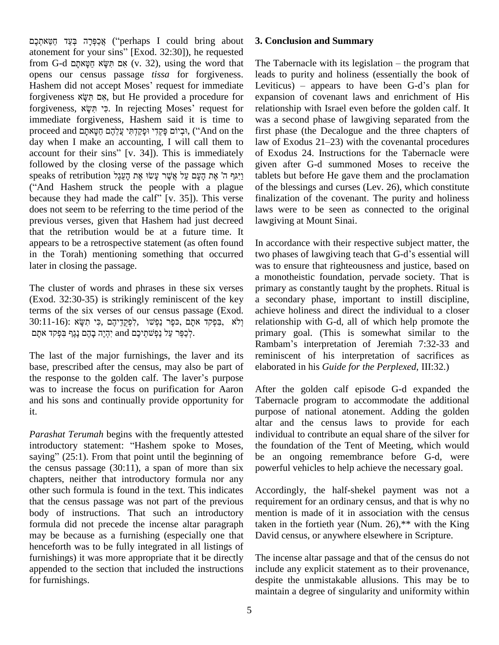ʣʲʔˎʍ ʤʸʕ˝ʍʫʔʠʏ (ìperhaps <sup>I</sup> could bring about אַכַּפְּרָה בְּעַד חַטַּאתְכֶם ("perhaps I could bring about  $\,$  3. Con atonement for your sins" [Exod. 32:30]), he requested י אֲכַּפְּרָה בְּעַד חַטֵּאתְכֶם ("perhaps I could bring about 3.<br>atonement for your sins" [Exod. 32:30]), he requested<br>from G-d תִּשָּׂא חַטְאתָם (v. 32), using the word that Th opens our census passage *tissa* for forgiveness. from G-d מִשְא הַעָּא הַעֲא הַעֲאתָם (v. 32), using the word that The Sopens our census passage *tissa* for forgiveness. leads<br>Hashem did not accept Moses' request for immediate Levit opens our census passage *tissa* for forgiveness. lea<br>Hashem did not accept Moses' request for immediate Lev<br>forgiveness אָם הִשְּׂם, but He provided a procedure for exp Hashem did not accept Moses' request for immediate Lev<br>forgiveness אָם תִּשָּׂא, but He provided a procedure for exp<br>forgiveness, פִּי תִּשָּׂא, In rejecting Moses' request for relation immediate forgiveness, Hashem said it is time to forgiveness, פִי תִּשָׂא. In rejecting Moses' request for day when I make an accounting, I will call them to law of Exodus  $21-23$ ) with the covenantal procedures  $p$ roceed and ובִיוֹם פּקָדי וּפקדָתי עֲלְהֶם הַשֹּאתה ("And on the followed by the closing verse of the passage which<br>
given <br/>speaks of retribution וַיָּגָר ה' אֶת הָעָם עַל אֲשֶׁר עָשׂוּ אֶת הָעֲם עַל kablets<br>
(''And Hashem struck the people with a plague of the speaks of retribution 
of their sins" [v. 34]). This is immediately of<br>followed by the closing verse of the passage which gi<br>
rispeaks of retribution יַיִּגְּךָ ה' אֶת הָעָם עַל אֲשֶׁר עָשׂוּ אֶת הָעֲם וֹ speaks of retribution נִיגּרְ $\pi$ יִאָל אֲשֶׁר עָשׂוּ אֶת נִיצְגַל ("And Hashem struck the people with a plague because they had made the calf" [v. 35]). This verse does not seem to be referring to the time period of the previous verses, given that Hashem had just decreed that the retribution would be at a future time. It appears to be a retrospective statement (as often found in the Torah) mentioning something that occurred later in closing the passage.

The cluster of words and phrases in these six verses (Exod. 32:30-35) is strikingly reminiscent of the key terms of the six verses of our census passage (Exod. a 32:30-35) is strikingly reminiscent of the key<br>
30:11-16): פִפְּך נַפְּשׁוֹ לִפְקֵדֵּיהֶם , כִּפֶר נַפְּשׁוֹ<br>
30:11-16): פִפְקד אתָם ,כּפֶר נַפְּשׁוֹ s of the six verses of our census passage<br>קד אתָם ,פּפֶר נַפְשׁוֹ ,לְפְקֵדֵיהֶם ,פִּי תִשָּׂא .<br>לְכַפֵּר עַל נַפְשֹתֲיכֶם and יִהְיֶה בָּהֶם נֶגֶף בִּפְקִד.

The last of the major furnishings, the laver and its base, prescribed after the census, may also be part of The last of the major furnishings, the laver and its remindbase, prescribed after the census, may also be part of elabor the response to the golden calf. The laver's purpose was to increase the focus on purification for Aaron and his sons and continually provide opportunity for it.

*Parashat Terumah* begins with the frequently attested introductory statement: "Hashem spoke to Moses, saying"  $(25:1)$ . From that point until the beginning of the census passage  $(30:11)$ , a span of more than six chapters, neither that introductory formula nor any other such formula is found in the text. This indicates that the census passage was not part of the previous body of instructions. That such an introductory formula did not precede the incense altar paragraph may be because as a furnishing (especially one that henceforth was to be fully integrated in all listings of furnishings) it was more appropriate that it be directly appended to the section that included the instructions for furnishings.

## **3. Conclusion and Summary**

The Tabernacle with its legislation  $-$  the program that leads to purity and holiness (essentially the book of Leviticus) – appears to have been  $G-d$ 's plan for expansion of covenant laws and enrichment of His relationship with Israel even before the golden calf. It was a second phase of lawgiving separated from the<br>first phase (the Decalogue and the three chapters of<br>law of Exodus 21–23) with the covenantal procedures first phase (the Decalogue and the three chapters of of Exodus 24. Instructions for the Tabernacle were given after G-d summoned Moses to receive the tablets but before He gave them and the proclamation of the blessings and curses (Lev. 26), which constitute finalization of the covenant. The purity and holiness laws were to be seen as connected to the original lawgiving at Mount Sinai.

In accordance with their respective subject matter, the two phases of lawgiving teach that G-d's essential will was to ensure that righteousness and justice, based on a monotheistic foundation, pervade society. That is primary as constantly taught by the prophets. Ritual is a secondary phase, important to instill discipline, achieve holiness and direct the individual to a closer relationship with G-d, all of which help promote the primary goal. (This is somewhat similar to the Rambamí<sup>s</sup> interpretation of Jeremiah 7:32-33 and reminiscent of his interpretation of sacrifices as elaborated in his *Guide for the Perplexed*, III:32.)

After the golden calf episode G-d expanded the Tabernacle program to accommodate the additional purpose of national atonement. Adding the golden altar and the census laws to provide for each individual to contribute an equal share of the silver for the foundation of the Tent of Meeting, which would be an ongoing remembrance before G-d, were powerful vehicles to help achieve the necessary goal.

Accordingly, the half-shekel payment was not a requirement for an ordinary census, and that is why no mention is made of it in association with the census taken in the fortieth year (Num. 26), $**$  with the King David census, or anywhere elsewhere in Scripture.

The incense altar passage and that of the census do not include any explicit statement as to their provenance, despite the unmistakable allusions. This may be to maintain a degree of singularity and uniformity within